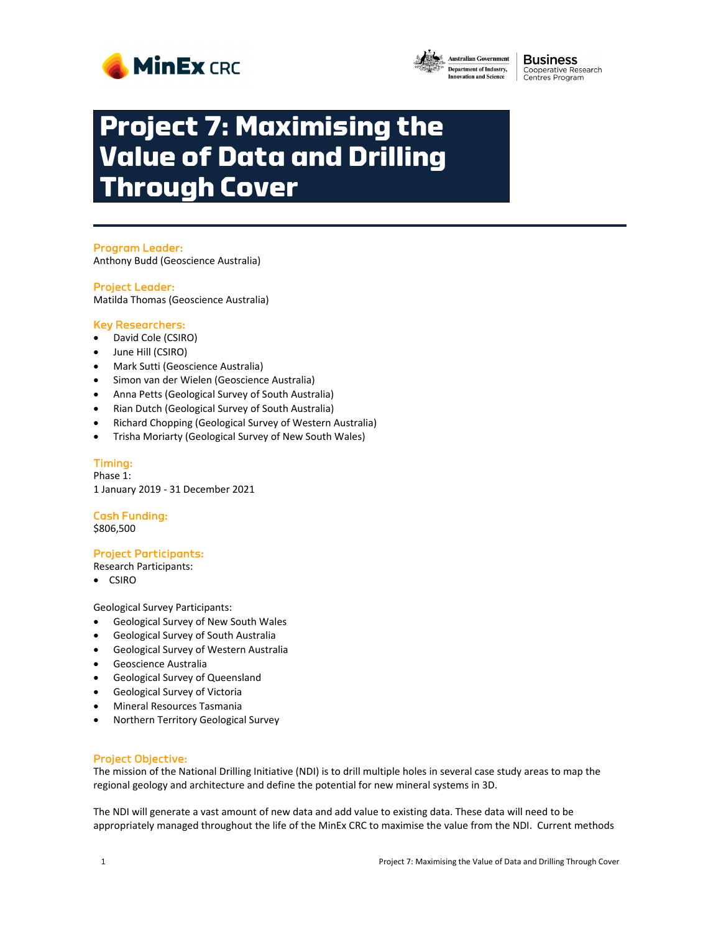



**Business** Cooperative Research<br>Centres Program

# **Project 7: Maximising the Value of Data and Drilling Through Cover**

### Program Leader:

Anthony Budd (Geoscience Australia)

#### Project Leader:

Matilda Thomas (Geoscience Australia)

#### Key Researchers:

- David Cole (CSIRO)
- June Hill (CSIRO)
- Mark Sutti (Geoscience Australia)
- Simon van der Wielen (Geoscience Australia)
- Anna Petts (Geological Survey of South Australia)
- Rian Dutch (Geological Survey of South Australia)
- Richard Chopping (Geological Survey of Western Australia)
- Trisha Moriarty (Geological Survey of New South Wales)

#### Timing:

Phase 1: 1 January 2019 ‐ 31 December 2021

## Cash Funding:

\$806,500

#### Project Participants:

Research Participants:

CSIRO

Geological Survey Participants:

- Geological Survey of New South Wales
- Geological Survey of South Australia
- Geological Survey of Western Australia
- Geoscience Australia
- Geological Survey of Queensland
- Geological Survey of Victoria
- Mineral Resources Tasmania
- Northern Territory Geological Survey

#### Project Objective:

The mission of the National Drilling Initiative (NDI) is to drill multiple holes in several case study areas to map the regional geology and architecture and define the potential for new mineral systems in 3D.

The NDI will generate a vast amount of new data and add value to existing data. These data will need to be appropriately managed throughout the life of the MinEx CRC to maximise the value from the NDI. Current methods